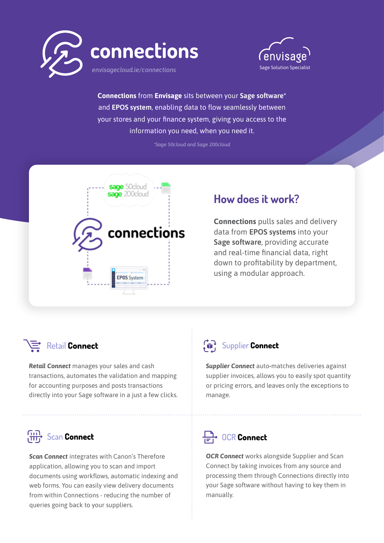



**Connections** from **Envisage** sits between your **Sage software\*** and **EPOS system**, enabling data to flow seamlessly between your stores and your finance system, giving you access to the information you need, when you need it.

*\*Sage 50cloud and Sage 200cloud*



## **How does it work?**

**Connections** pulls sales and delivery data from **EPOS systems** into your **Sage software**, providing accurate and real-time financial data, right down to profitability by department, using a modular approach.

### Retail Connect

*Retail Connect* manages your sales and cash transactions, automates the validation and mapping for accounting purposes and posts transactions directly into your Sage software in a just a few clicks.

# Supplier Connect

*Supplier Connect* auto*-*matches deliveries against supplier invoices, allows you to easily spot quantity or pricing errors, and leaves only the exceptions to manage.

# **Gin** Scan **Connect**

*Scan Connect* integrates with Canon's Therefore application, allowing you to scan and import documents using workflows, automatic indexing and web forms. You can easily view delivery documents from within Connections - reducing the number of queries going back to your suppliers.

## $\overrightarrow{C}$  OCR Connect

*OCR Connect* works alongside Supplier and Scan Connect by taking invoices from any source and processing them through Connections directly into your Sage software without having to key them in manually.